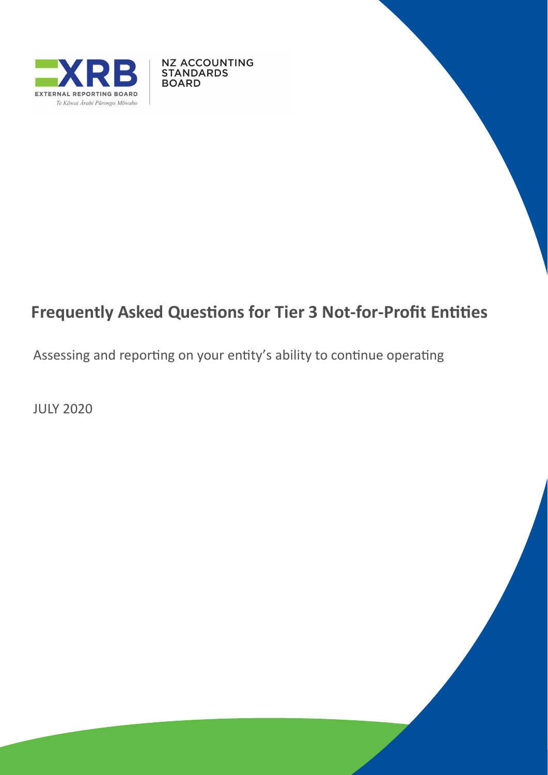

**NZ ACCOUNTING STANDARDS BOARD** 

# **Frequently Asked Questions for Tier 3 Not-for-Profit Entities**

Assessing and reporting on your entity's ability to continue operating

JULY 2020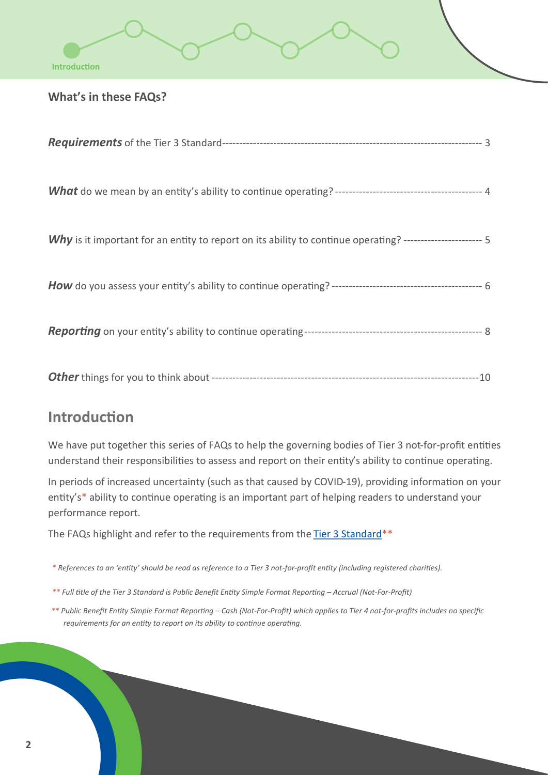### **What's in these FAQs?**

| Why is it important for an entity to report on its ability to continue operating? ---------------------- 5 |  |
|------------------------------------------------------------------------------------------------------------|--|
|                                                                                                            |  |
|                                                                                                            |  |
|                                                                                                            |  |

## **Introduction**

We have put together this series of FAQs to help the governing bodies of Tier 3 not-for-profit entities understand their responsibilities to assess and report on their entity's ability to continue operating.

In periods of increased uncertainty (such as that caused by COVID-19), providing information on your entity's\* ability to continue operating is an important part of helping readers to understand your performance report.

The FAQs highlight and refer to the requirements from the Tier [3 Standard\\*](https://www.xrb.govt.nz/accounting-standards/not-for-profit/pbe-sfr-a-nfp/)\*

*\* References to an 'entity' should be read as reference to a Tier 3 not-for-profit entity (including registered charities).*

- *\*\* Full title of the Tier 3 Standard is Public Benefit Entity Simple Format Reporting – Accrual (Not-For-Profit)*
- *\*\* Public Benefit Entity Simple Format Reporting – Cash (Not-For-Profit) which applies to Tier 4 not-for-profits includes no specific requirements for an entity to report on its ability to continue operating.*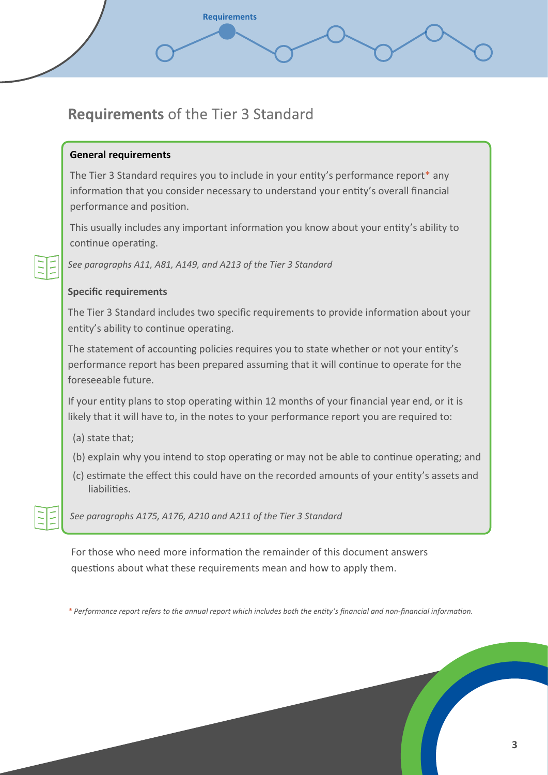# **Requirements of the Tier 3 Standard**

**Requirements** 

### **General requirements**

The Tier 3 Standard requires you to include in your entity's performance report\* any information that you consider necessary to understand your entity's overall financial performance and position.

This usually includes any important information you know about your entity's ability to continue operating.

*See paragraphs A11, A81, A149, and A213 of the Tier 3 Standard*

### **Specific requirements**

The Tier 3 Standard includes two specific requirements to provide information about your entity's ability to continue operating.

The statement of accounting policies requires you to state whether or not your entity's performance report has been prepared assuming that it will continue to operate for the foreseeable future.

If your entity plans to stop operating within 12 months of your financial year end, or it is likely that it will have to, in the notes to your performance report you are required to:

- (a) state that;
- (b) explain why you intend to stop operating or may not be able to continue operating; and
- (c) estimate the effect this could have on the recorded amounts of your entity's assets and liabilities.

*See paragraphs A175, A176, A210 and A211 of the Tier 3 Standard*

For those who need more information the remainder of this document answers questions about what these requirements mean and how to apply them.

*\* Performance report refers to the annual report which includes both the entity's financial and non-financial information.*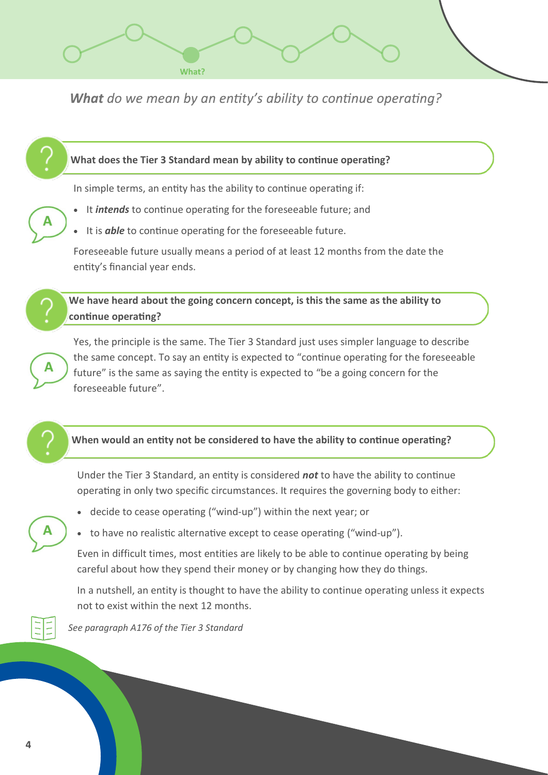

What do we mean by an entity's ability to continue operating?



Under the Tier 3 Standard, an entity is considered *not* to have the ability to continue operating in only two specific circumstances. It requires the governing body to either:

- decide to cease operating ("wind-up") within the next year; or
- to have no realistic alternative except to cease operating ("wind-up").

Even in difficult times, most entities are likely to be able to continue operating by being careful about how they spend their money or by changing how they do things.

In a nutshell, an entity is thought to have the ability to continue operating unless it expects not to exist within the next 12 months.



*See paragraph A176 of the Tier 3 Standard*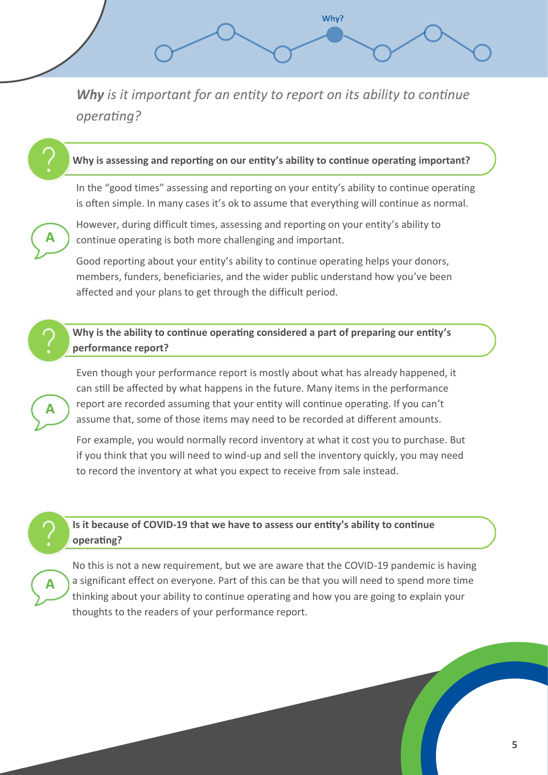Why is it important for an entity to report on its ability to continue operating?

Why?

#### **Why is assessing and reporting on our entity's ability to continue operating important?**

In the "good times" assessing and reporting on your entity's ability to continue operating is often simple. In many cases it's ok to assume that everything will continue as normal.



However, during difficult times, assessing and reporting on your entity's ability to continue operating is both more challenging and important.

Good reporting about your entity's ability to continue operating helps your donors, members, funders, beneficiaries, and the wider public understand how you've been affected and your plans to get through the difficult period.

#### **Why is the ability to continue operating considered a part of preparing our entity's performance report?**

Even though your performance report is mostly about what has already happened, it can still be affected by what happens in the future. Many items in the performance report are recorded assuming that your entity will continue operating. If you can't assume that, some of those items may need to be recorded at different amounts.

For example, you would normally record inventory at what it cost you to purchase. But if you think that you will need to wind-up and sell the inventory quickly, you may need to record the inventory at what you expect to receive from sale instead.



#### **Is it because of COVID-19 that we have to assess our entity's ability to continue operating?**

No this is not a new requirement, but we are aware that the COVID-19 pandemic is having a significant effect on everyone. Part of this can be that you will need to spend more time thinking about your ability to continue operating and how you are going to explain your thoughts to the readers of your performance report.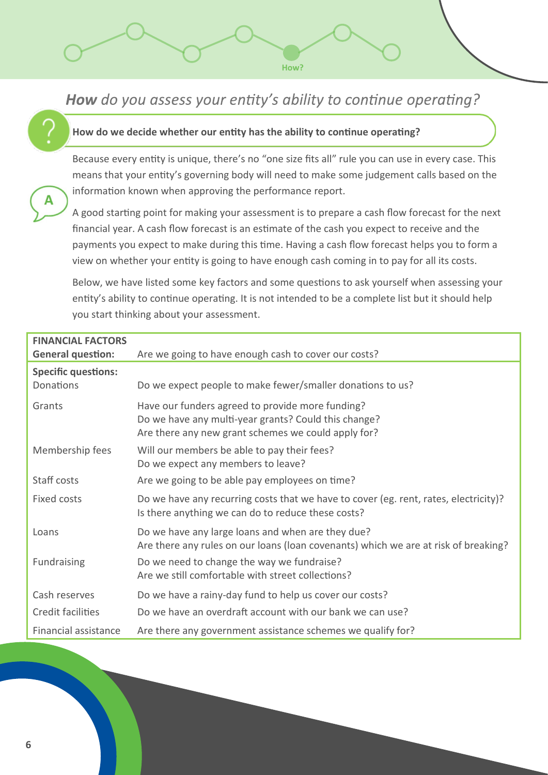# How do you assess your entity's ability to continue operating?

How?

#### **How do we decide whether our entity has the ability to continue operating?**

Because every entity is unique, there's no "one size fits all" rule you can use in every case. This means that your entity's governing body will need to make some judgement calls based on the information known when approving the performance report.

A good starting point for making your assessment is to prepare a cash flow forecast for the next financial year. A cash flow forecast is an estimate of the cash you expect to receive and the payments you expect to make during this time. Having a cash flow forecast helps you to form a view on whether your entity is going to have enough cash coming in to pay for all its costs.

Below, we have listed some key factors and some questions to ask yourself when assessing your entity's ability to continue operating. It is not intended to be a complete list but it should help you start thinking about your assessment.

| <b>FINANCIAL FACTORS</b><br><b>General question:</b> | Are we going to have enough cash to cover our costs?                                                                                                            |
|------------------------------------------------------|-----------------------------------------------------------------------------------------------------------------------------------------------------------------|
| <b>Specific questions:</b>                           |                                                                                                                                                                 |
| Donations                                            | Do we expect people to make fewer/smaller donations to us?                                                                                                      |
| Grants                                               | Have our funders agreed to provide more funding?<br>Do we have any multi-year grants? Could this change?<br>Are there any new grant schemes we could apply for? |
| Membership fees                                      | Will our members be able to pay their fees?<br>Do we expect any members to leave?                                                                               |
| Staff costs                                          | Are we going to be able pay employees on time?                                                                                                                  |
| Fixed costs                                          | Do we have any recurring costs that we have to cover (eg. rent, rates, electricity)?<br>Is there anything we can do to reduce these costs?                      |
| Loans                                                | Do we have any large loans and when are they due?<br>Are there any rules on our loans (loan covenants) which we are at risk of breaking?                        |
| <b>Fundraising</b>                                   | Do we need to change the way we fundraise?<br>Are we still comfortable with street collections?                                                                 |
| Cash reserves                                        | Do we have a rainy-day fund to help us cover our costs?                                                                                                         |
| Credit facilities                                    | Do we have an overdraft account with our bank we can use?                                                                                                       |
| Financial assistance                                 | Are there any government assistance schemes we qualify for?                                                                                                     |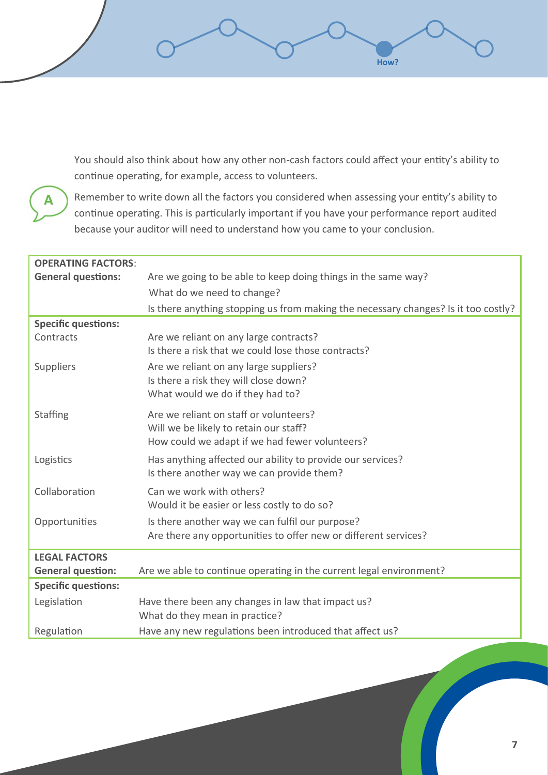You should also think about how any other non-cash factors could affect your entity's ability to continue operating, for example, access to volunteers.

How?



Remember to write down all the factors you considered when assessing your entity's ability to continue operating. This is particularly important if you have your performance report audited because your auditor will need to understand how you came to your conclusion.

| <b>OPERATING FACTORS:</b>  |                                                                                                                                    |
|----------------------------|------------------------------------------------------------------------------------------------------------------------------------|
| <b>General questions:</b>  | Are we going to be able to keep doing things in the same way?                                                                      |
|                            | What do we need to change?                                                                                                         |
|                            | Is there anything stopping us from making the necessary changes? Is it too costly?                                                 |
| <b>Specific questions:</b> |                                                                                                                                    |
| Contracts                  | Are we reliant on any large contracts?<br>Is there a risk that we could lose those contracts?                                      |
| Suppliers                  | Are we reliant on any large suppliers?<br>Is there a risk they will close down?<br>What would we do if they had to?                |
| Staffing                   | Are we reliant on staff or volunteers?<br>Will we be likely to retain our staff?<br>How could we adapt if we had fewer volunteers? |
| Logistics                  | Has anything affected our ability to provide our services?<br>Is there another way we can provide them?                            |
| Collaboration              | Can we work with others?<br>Would it be easier or less costly to do so?                                                            |
| Opportunities              | Is there another way we can fulfil our purpose?<br>Are there any opportunities to offer new or different services?                 |
| <b>LEGAL FACTORS</b>       |                                                                                                                                    |
| <b>General question:</b>   | Are we able to continue operating in the current legal environment?                                                                |
| <b>Specific questions:</b> |                                                                                                                                    |
| Legislation                | Have there been any changes in law that impact us?<br>What do they mean in practice?                                               |
| Regulation                 | Have any new regulations been introduced that affect us?                                                                           |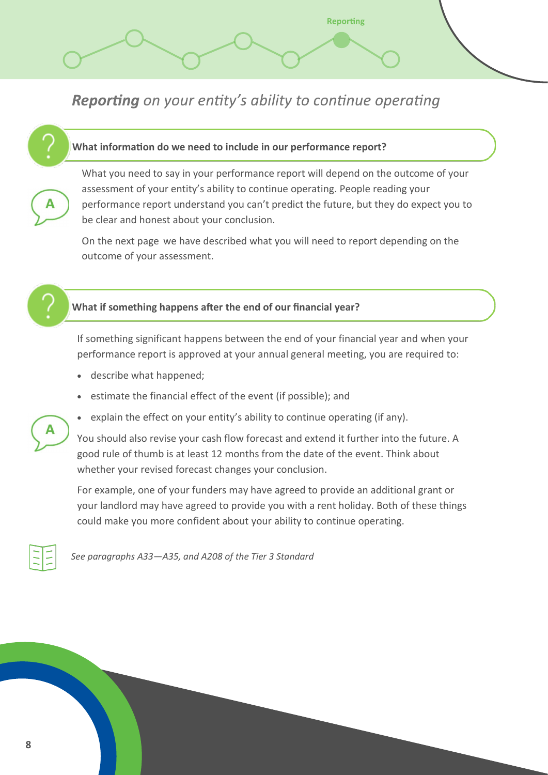**Reporting** on your entity's ability to continue operating

#### **What information do we need to include in our performance report?**

What you need to say in your performance report will depend on the outcome of your assessment of your entity's ability to continue operating. People reading your performance report understand you can't predict the future, but they do expect you to be clear and honest about your conclusion.

**Reporting** 

On the next page we have described what you will need to report depending on the outcome of your assessment.



#### **What if something happens after the end of our financial year?**

If something significant happens between the end of your financial year and when your performance report is approved at your annual general meeting, you are required to:

- describe what happened;
- estimate the financial effect of the event (if possible); and
- explain the effect on your entity's ability to continue operating (if any).

You should also revise your cash flow forecast and extend it further into the future. A good rule of thumb is at least 12 months from the date of the event. Think about whether your revised forecast changes your conclusion.

For example, one of your funders may have agreed to provide an additional grant or your landlord may have agreed to provide you with a rent holiday. Both of these things could make you more confident about your ability to continue operating.



*See paragraphs A33—A35, and A208 of the Tier 3 Standard*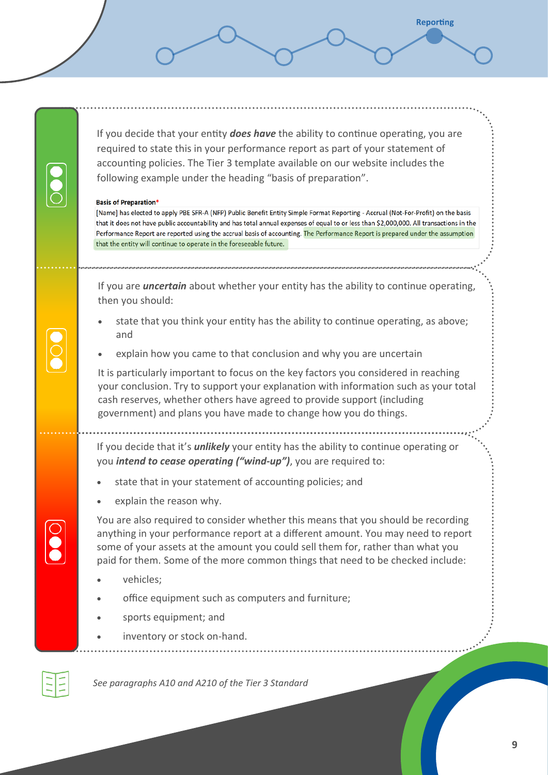If you decide that your entity *does have* the ability to continue operating, you are required to state this in your performance report as part of your statement of accounting policies. The Tier 3 template available on our website includes the following example under the heading "basis of preparation".

**Reporting** 

#### **Basis of Preparation\***

[Name] has elected to apply PBE SFR-A (NFP) Public Benefit Entity Simple Format Reporting - Accrual (Not-For-Profit) on the basis that it does not have public accountability and has total annual expenses of equal to or less than \$2,000,000. All transactions in the Performance Report are reported using the accrual basis of accounting. The Performance Report is prepared under the assumption that the entity will continue to operate in the foreseeable future.

If you are *uncertain* about whether your entity has the ability to continue operating, then you should:

- state that you think your entity has the ability to continue operating, as above; and
- explain how you came to that conclusion and why you are uncertain

It is particularly important to focus on the key factors you considered in reaching your conclusion. Try to support your explanation with information such as your total cash reserves, whether others have agreed to provide support (including government) and plans you have made to change how you do things.

If you decide that it's *unlikely* your entity has the ability to continue operating or you *intend to cease operating ("wind-up")*, you are required to:

- state that in your statement of accounting policies; and
- explain the reason why.

You are also required to consider whether this means that you should be recording anything in your performance report at a different amount. You may need to report some of your assets at the amount you could sell them for, rather than what you paid for them. Some of the more common things that need to be checked include:

- vehicles:
- office equipment such as computers and furniture;
- sports equipment; and
- inventory or stock on-hand.

*See paragraphs A10 and A210 of the Tier 3 Standard*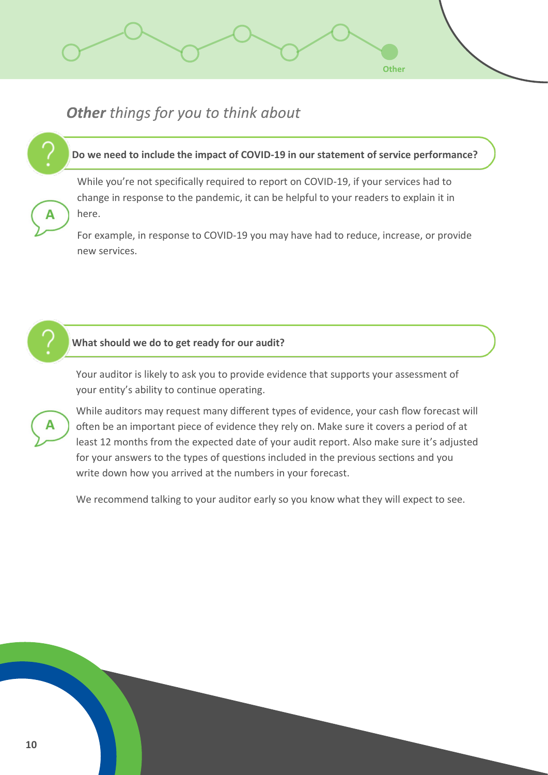## Other things for you to think about

#### **Do we need to include the impact of COVID-19 in our statement of service performance?**

**Other** 

While you're not specifically required to report on COVID-19, if your services had to change in response to the pandemic, it can be helpful to your readers to explain it in here.

For example, in response to COVID-19 you may have had to reduce, increase, or provide new services.



#### **What should we do to get ready for our audit?**

Your auditor is likely to ask you to provide evidence that supports your assessment of your entity's ability to continue operating.



While auditors may request many different types of evidence, your cash flow forecast will often be an important piece of evidence they rely on. Make sure it covers a period of at least 12 months from the expected date of your audit report. Also make sure it's adjusted for your answers to the types of questions included in the previous sections and you write down how you arrived at the numbers in your forecast.

We recommend talking to your auditor early so you know what they will expect to see.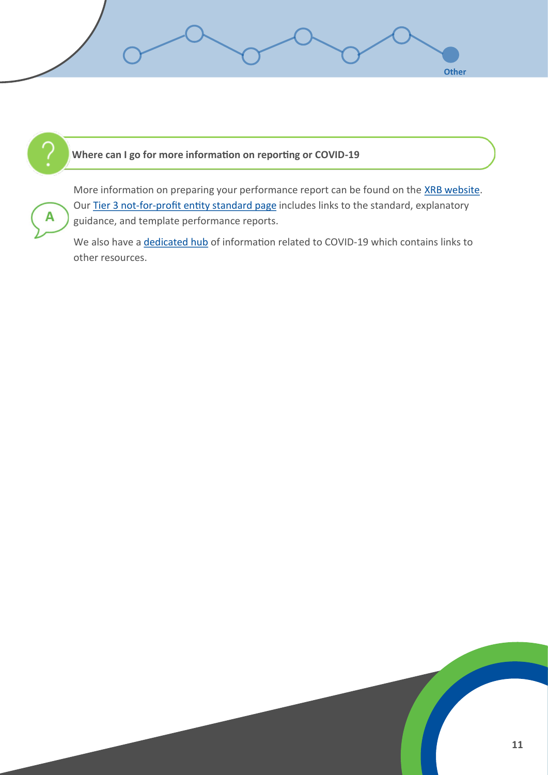

#### **Where can I go for more information on reporting or COVID-19**



More information on preparing your performance report can be found on the XRB [website.](https://www.xrb.govt.nz/) Our Tier 3 not-for-[profit entity standard page](https://www.xrb.govt.nz/accounting-standards/not-for-profit/pbe-sfr-a-nfp/) includes links to the standard, explanatory guidance, and template performance reports.

We also have a **dedicated hub** of information related to COVID-19 which contains links to other resources.

Other